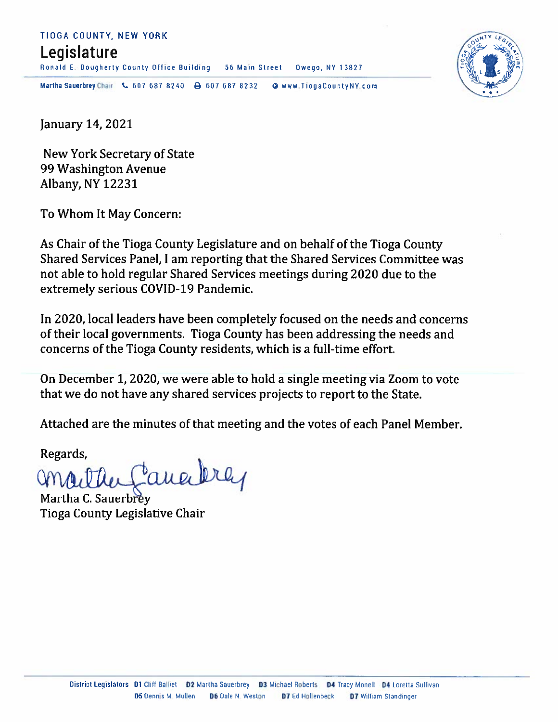### TIOGA COUNTY, NEW YORK

### Legislature

Ronald E. Dougherty County Office Building 56 Main Street Owego, NY 13827



Martha Sauerbrey Chair & 607 687 8240  $\rightarrow$  607 687 8232 O www.TiogaCountyNY.com

January 14, 2021

New York Secretary of State 99 Washington Avenue **Albany, NY 12231** 

To Whom It May Concern:

As Chair of the Tioga County Legislature and on behalf of the Tioga County Shared Services Panel, I am reporting that the Shared Services Committee was not able to hold regular Shared Services meetings during 2020 due to the extremely serious COVID-19 Pandemic.

In 2020, local leaders have been completely focused on the needs and concerns of their local governments. Tioga County has been addressing the needs and concerns of the Tioga County residents, which is a full-time effort.

On December 1, 2020, we were able to hold a single meeting via Zoom to vote that we do not have any shared services projects to report to the State.

Attached are the minutes of that meeting and the votes of each Panel Member.

Regards,

aue

Martha C. Sauerbrev **Tioga County Legislative Chair**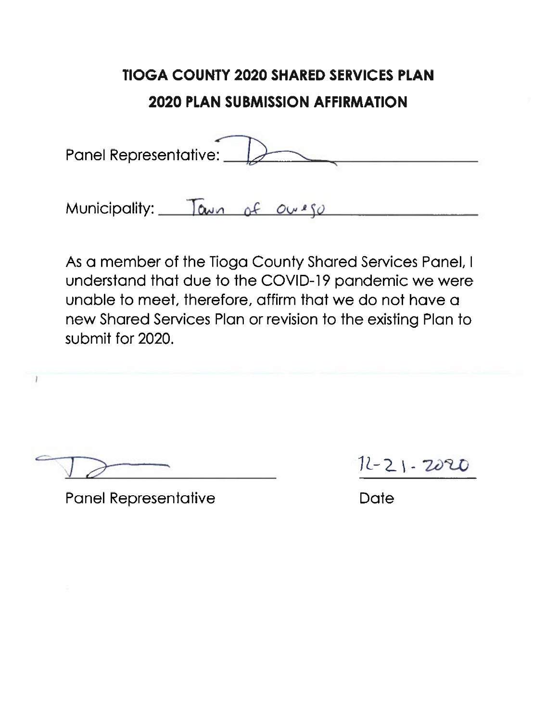| Panel Representative: |  |
|-----------------------|--|
|                       |  |

Municipality: Tawn of ourso

As a member of the Tioga County Shared Services Panel, I understand that due to the COVID-19 pandemic we were unable to meet, therefore, affirm that we do not have a new Shared Services Plan or revision to the existing Plan to submit for 2020.

1

**Panel Representative** 

 $12 - 21 - 2020$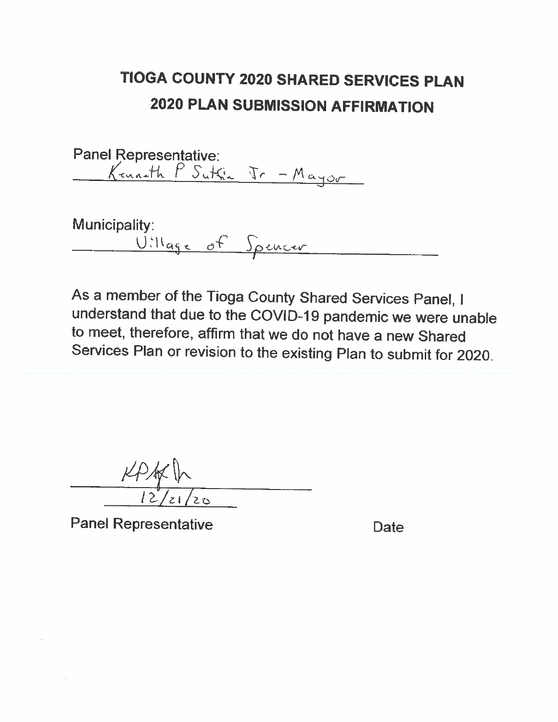Panel Representative:<br><u>Kenneth</u> P Sutfin Tr - Mayor

Municipality: <u>Village of Spencer</u>

As a member of the Tioga County Shared Services Panel, I understand that due to the COVID-19 pandemic we were unable to meet, therefore, affirm that we do not have a new Shared Services Plan or revision to the existing Plan to submit for 2020.

**Panel Representative**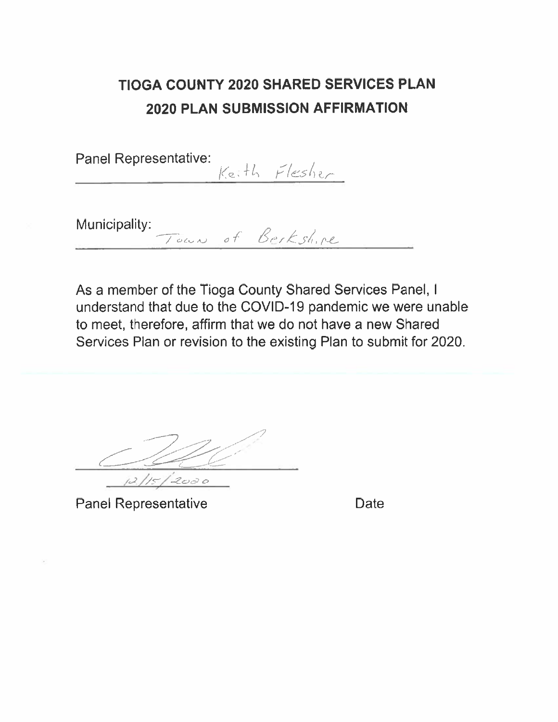Panel Representative: Keith Flesher

Municipality:

As a member of the Tioga County Shared Services Panel, I understand that due to the COVID-19 pandemic we were unable to meet, therefore, affirm that we do not have a new Shared Services Plan or revision to the existing Plan to submit for 2020.

Town of Berkshire

2020

**Panel Representative**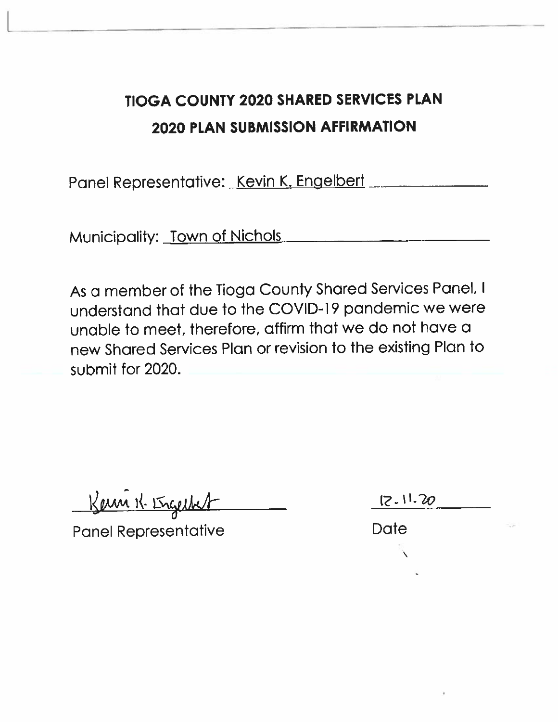Panel Representative: Kevin K. Engelbert

Municipality: Town of Nichols

As a member of the Tioga County Shared Services Panel, I understand that due to the COVID-19 pandemic we were unable to meet, therefore, affirm that we do not have a new Shared Services Plan or revision to the existing Plan to submit for 2020.

Kern K. Ergechert

**Panel Representative** 

 $12.11.20$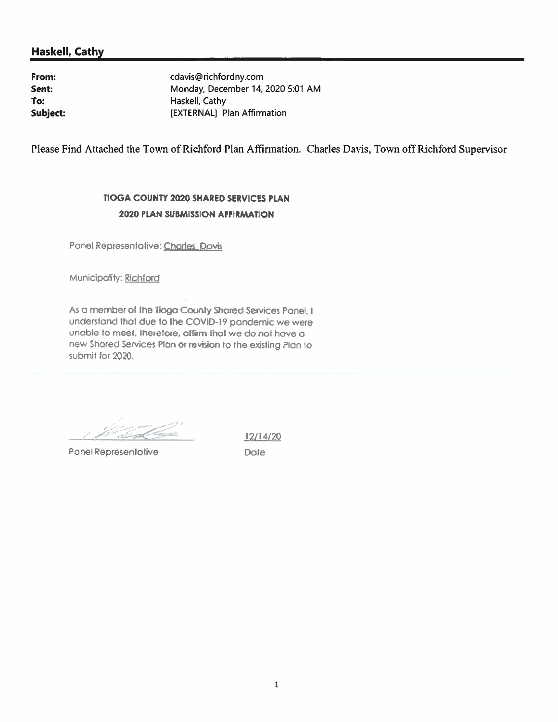#### **Haskell, Cathy**

From: Sent: To: Subject: cdavis@richfordny.com Monday, December 14, 2020 5:01 AM Haskell, Cathy [EXTERNAL] Plan Affirmation

Please Find Attached the Town of Richford Plan Affirmation. Charles Davis, Town off Richford Supervisor

#### TIOGA COUNTY 2020 SHARED SERVICES PLAN **2020 PLAN SUBMISSION AFFIRMATION**

Panel Representative: Charles Davis

Municipality: Richford

As a member of the Tioga County Shared Services Panel, I understand that due to the COVID-19 pandemic we were unable to meet, therefore, aftirm that we do not have a new Shored Services Plan or revision to the existing Plan to submit for 2020.

Panel Representative

 $12/14/20$ Date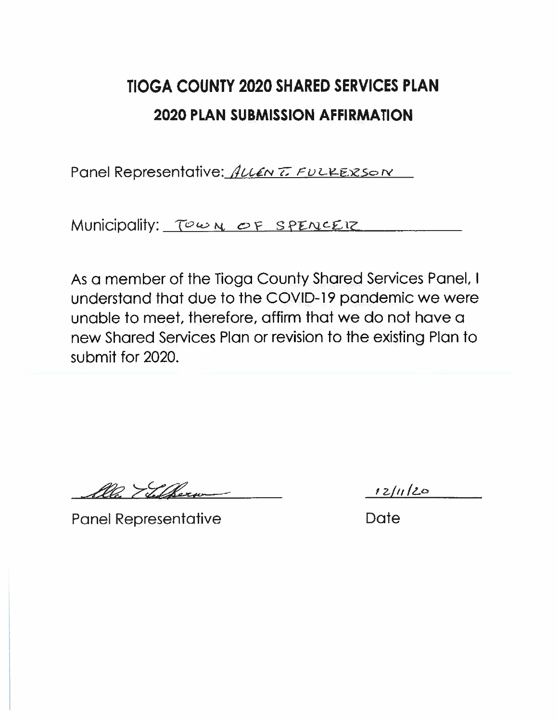Panel Representative: ALLEN TO FULKEXSON

Municipality: Town OF SPENCEIZ

As a member of the Tioga County Shared Services Panel, I understand that due to the COVID-19 pandemic we were unable to meet, therefore, affirm that we do not have a new Shared Services Plan or revision to the existing Plan to submit for 2020.

alle Thetherm

 $12/11/20$ 

**Panel Representative** 

Date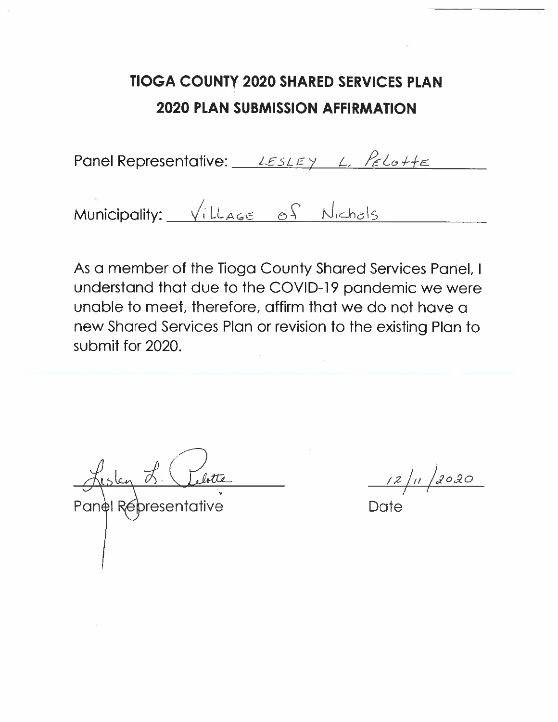Panel Representative:  $LESLEY \Leftrightarrow ECo+Fe$ 

Municipality: Village of Nichols

As a member of the Tioga County Shared Services Panel, I understand that due to the COVID-19 pandemic we were unable to meet, therefore, affirm that we do not have a new Shared Services Plan or revision to the existing Plan to submit for 2020.

Aisley 8 Lebette

2020  $\frac{12}{\mu}$ 

Date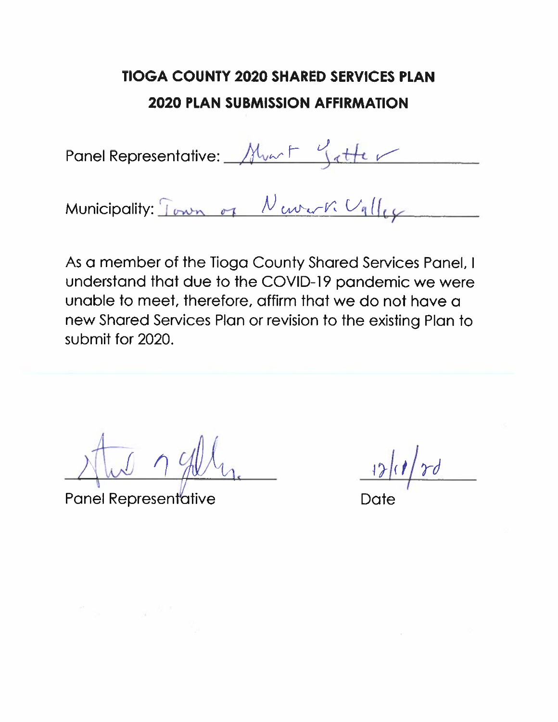Panel Representative: Mun F Gatter

Municipality: Town of Newerk Ugller

As a member of the Tioga County Shared Services Panel, I understand that due to the COVID-19 pandemic we were unable to meet, therefore, affirm that we do not have a new Shared Services Plan or revision to the existing Plan to submit for 2020.

**Panel Representative** 

Date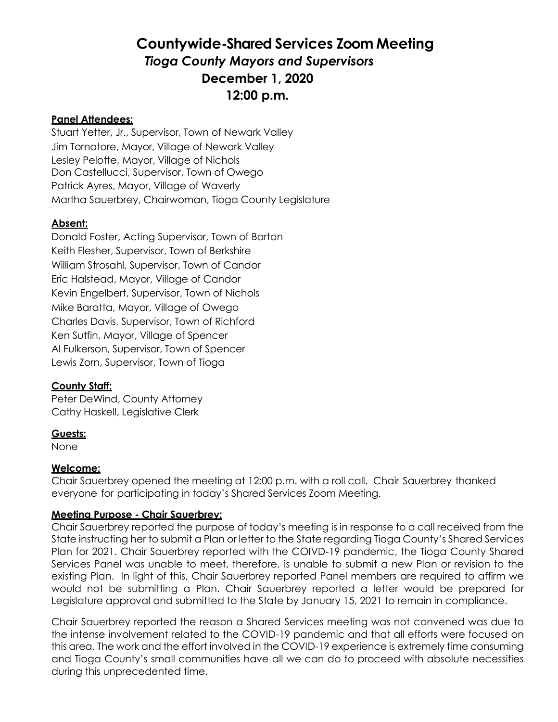### **Countywide-Shared Services Zoom Meeting** *Tioga County Mayors and Supervisors* **December 1, 2020 12:00 p.m.**

#### **Panel Attendees:**

Stuart Yetter, Jr., Supervisor, Town of Newark Valley Jim Tornatore, Mayor, Village of Newark Valley Lesley Pelotte, Mayor, Village of Nichols Don Castellucci, Supervisor, Town of Owego Patrick Ayres, Mayor, Village of Waverly Martha Sauerbrey, Chairwoman, Tioga County Legislature

#### **Absent:**

Donald Foster, Acting Supervisor, Town of Barton Keith Flesher, Supervisor, Town of Berkshire William Strosahl, Supervisor, Town of Candor Eric Halstead, Mayor, Village of Candor Kevin Engelbert, Supervisor, Town of Nichols Mike Baratta, Mayor, Village of Owego Charles Davis, Supervisor, Town of Richford Ken Sutfin, Mayor, Village of Spencer Al Fulkerson, Supervisor, Town of Spencer Lewis Zorn, Supervisor, Town of Tioga

#### **County Staff:**

Peter DeWind, County Attorney Cathy Haskell, Legislative Clerk

#### **Guests:**

None

#### **Welcome:**

Chair Sauerbrey opened the meeting at 12:00 p.m. with a roll call. Chair Sauerbrey thanked everyone for participating in today's Shared Services Zoom Meeting.

#### **Meeting Purpose - Chair Sauerbrey:**

Chair Sauerbrey reported the purpose of today's meeting is in response to a call received from the State instructing her to submit a Plan or letter to the State regarding Tioga County's Shared Services Plan for 2021. Chair Sauerbrey reported with the COIVD-19 pandemic, the Tioga County Shared Services Panel was unable to meet, therefore, is unable to submit a new Plan or revision to the existing Plan. In light of this, Chair Sauerbrey reported Panel members are required to affirm we would not be submitting a Plan. Chair Sauerbrey reported a letter would be prepared for Legislature approval and submitted to the State by January 15, 2021 to remain in compliance.

Chair Sauerbrey reported the reason a Shared Services meeting was not convened was due to the intense involvement related to the COVID-19 pandemic and that all efforts were focused on this area. The work and the effort involved in the COVID-19 experience is extremely time consuming and Tioga County's small communities have all we can do to proceed with absolute necessities during this unprecedented time.